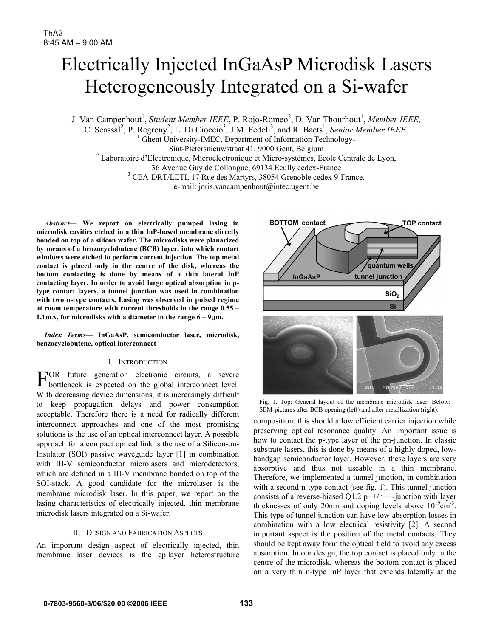# Electrically Injected InGaAsP Microdisk Lasers Heterogeneously Integrated on a Si-wafer

J. Van Campenhout<sup>1</sup>, *Student Member IEEE*, P. Rojo-Romeo<sup>2</sup>, D. Van Thourhout<sup>1</sup>, *Member IEEE*,

C. Seassal<sup>2</sup>, P. Regreny<sup>2</sup>, L. Di Cioccio<sup>3</sup>, J.M. Fedeli<sup>3</sup>, and R. Baets<sup>1</sup>, *Senior Member IEEE*. <sup>1</sup> Ghent University-IMEC, Department of Information Technology-Sint-Pietersnieuwstraat 41, 9000 Gent, Belgium 2 <sup>2</sup> Laboratoire d'Electronique, Microelectronique et Micro-systèmes, Ecole Centrale de Lyon,

36 Avenue Guy de Collongue, 69134 Ecully cedex-France 3

CEA-DRT/LETI, 17 Rue des Martyrs, 38054 Grenoble cedex 9-France.

e-mail: joris.vancampenhout@intec.ugent.be

*Abstract***— We report on electrically pumped lasing in microdisk cavities etched in a thin InP-based membrane directly bonded on top of a silicon wafer. The microdisks were planarized by means of a benzocyclobutene (BCB) layer, into which contact windows were etched to perform current injection. The top metal contact is placed only in the centre of the disk, whereas the bottom contacting is done by means of a thin lateral InP contacting layer. In order to avoid large optical absorption in ptype contact layers, a tunnel junction was used in combination with two n-type contacts. Lasing was observed in pulsed regime at room temperature with current thresholds in the range 0.55 – 1.1mA, for microdisks with a diameter in the range 6 – 9**µ**m.** 

*Index Terms***— InGaAsP, semiconductor laser, microdisk, benzocyclobutene, optical interconnect** 

## I. INTRODUCTION

OR future generation electronic circuits, a severe  $F^{OR}$  future generation electronic circuits, a severe bottleneck is expected on the global interconnect level. With decreasing device dimensions, it is increasingly difficult to keep propagation delays and power consumption acceptable. Therefore there is a need for radically different interconnect approaches and one of the most promising solutions is the use of an optical interconnect layer. A possible approach for a compact optical link is the use of a Silicon-on-Insulator (SOI) passive waveguide layer [1] in combination with III-V semiconductor microlasers and microdetectors, which are defined in a III-V membrane bonded on top of the SOI-stack. A good candidate for the microlaser is the membrane microdisk laser. In this paper, we report on the lasing characteristics of electrically injected, thin membrane microdisk lasers integrated on a Si-wafer.

### II. DESIGN AND FABRICATION ASPECTS

An important design aspect of electrically injected, thin membrane laser devices is the epilayer heterostructure



Fig. 1. Top: General layout of the membrane microdisk laser. Below: SEM-pictures after BCB opening (left) and after metallization (right).

composition: this should allow efficient carrier injection while preserving optical resonance quality. An important issue is how to contact the p-type layer of the pn-junction. In classic substrate lasers, this is done by means of a highly doped, lowbandgap semiconductor layer. However, these layers are very absorptive and thus not useable in a thin membrane. Therefore, we implemented a tunnel junction, in combination with a second n-type contact (see fig. 1). This tunnel junction consists of a reverse-biased  $Q1.2$  p++/n++-junction with layer thicknesses of only 20nm and doping levels above  $10^{19}$ cm<sup>-3</sup>. This type of tunnel junction can have low absorption losses in combination with a low electrical resistivity [2]. A second important aspect is the position of the metal contacts. They should be kept away form the optical field to avoid any excess absorption. In our design, the top contact is placed only in the centre of the microdisk, whereas the bottom contact is placed on a very thin n-type InP layer that extends laterally at the